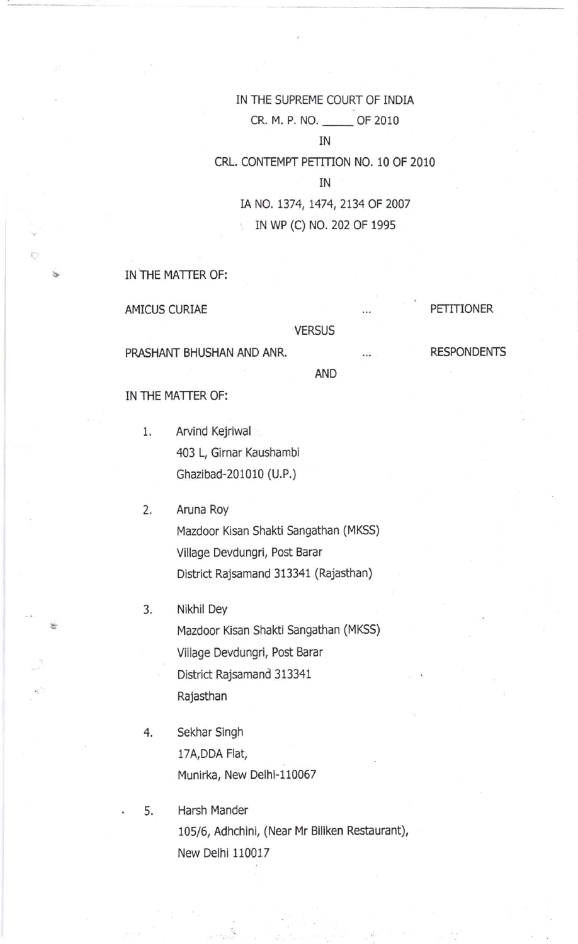# IN THE SUPREME COURT OF INDIA cR. M. P. NO. \_ OF <sup>2010</sup>

# IN

CRL. CONTEMPT PETITION NO. 10 OF 2010

IN

IA NO. 1374, 1474, 2134 OF 2007 rN wP (c) No. 202 oF 1995

IN THE MATTER OF:

AMICUS CURIAE

**VERSUS** 

PRASHANT BHUSHAN AND ANR.

RESPONDENTS

PETITIONER

AND

IN THE MATTER OF:

Arvind Kejriwal 403 L, Girnar Kaushambi Ghazibad-201010 (U.P.) 1

Aruna Roy Mazdoor Kisan Shakti Sangathan (MKSS) Village Devdungri, Post Barar District Rajsamand 313341 (Rajasthan)  $2.$ 

- Nikhil Dey Mazdoor Kisan Shakti Sangathan (MKSS) Village Devdungri, Post Barar District Rajsamand 313341 Rajasthan 3.
- Sekhar Singh 17A,DDA Flat, Munirka, New Delhi-1 10067 4,
- Harsh Mander 105/6, Adhchini, (Near Mr Biliken Restaurant), New Delhi 110017 5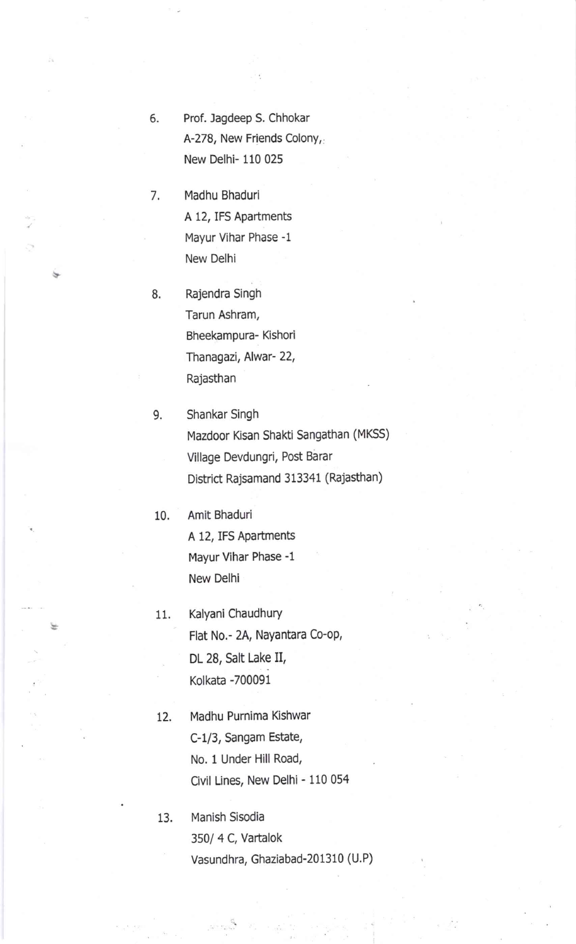- 6. Prof. Jagdeep S. Chhokar A-278, New Friends Colony, New Delhi- 110 025
- Madhu Bhaduri A 12, IFS Apartments Mayur Vihar Phase -1 New Delhi 7
- Rajendra Singh Tarun Ashram, Bheekampura- Kishori Thanagazi, Alwar- 22, Rajasthan 8

Shankar Singh Mazdoor Kisan Shakti Sangathan (MKSS) Village Devdungri, Post Barar District Rajsamand 313341 (Rajasthan) 9.

10. Amit Bhaduri A 12, IFS APartments Mayur Vihar Phase -1 New Delhi

- 11. Kalyani Chaudhury Flat No.- 2A, Nayantara Co-oP, DL 28, Salt Lake II, Kolkata -700091
- 12. Madhu Purnima Kishwar C-1/3, Sangam Estate, No. 1 Under Hill Road, Civil Lines, New Delhi - 110 054

13. Manish Sisodia 350/ 4 C, Vartalok Vasundhra, Ghaziabad-201310 (U.P)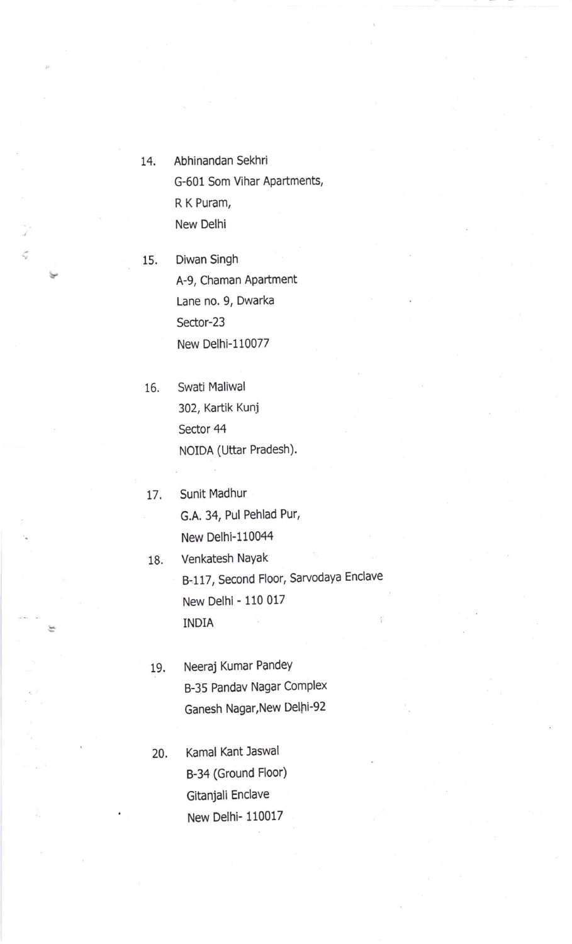- 14. Abhinandan Sekhri G-601 Som Vihar Apartments, R K Puram, New Delhi
- 15. Diwan Singh A-9, Chaman Apartment Lane no. 9, Dwarka Sector-23 New Delhi-110077

 $\frac{\partial}{\partial x}$ 

 $\frac{\zeta_{\rm L}}{\zeta_{\rm L}}$ 

- 16. Swati Maliwal 302, Kartik Kunj Sector 44 NOIDA (Uttar Pradesh).
- 17. Sunit Madhur G.A. 34, Pul Pehlad Pur, New Delhi-l10044
- 18. Venkatesh NaYak B-117, Second Floor, Sarvodaya Enclave New Delhi - 110 <sup>017</sup> INDIA
- 19. Neeraj Kumar PandeY B-35 Pandav Nagar Complex Ganesh Nagar,New Delhi-92
- 20. Kamal Kant Jaswal B-34 (Ground Floor) Gitanjali Enclave New Delhi- 110017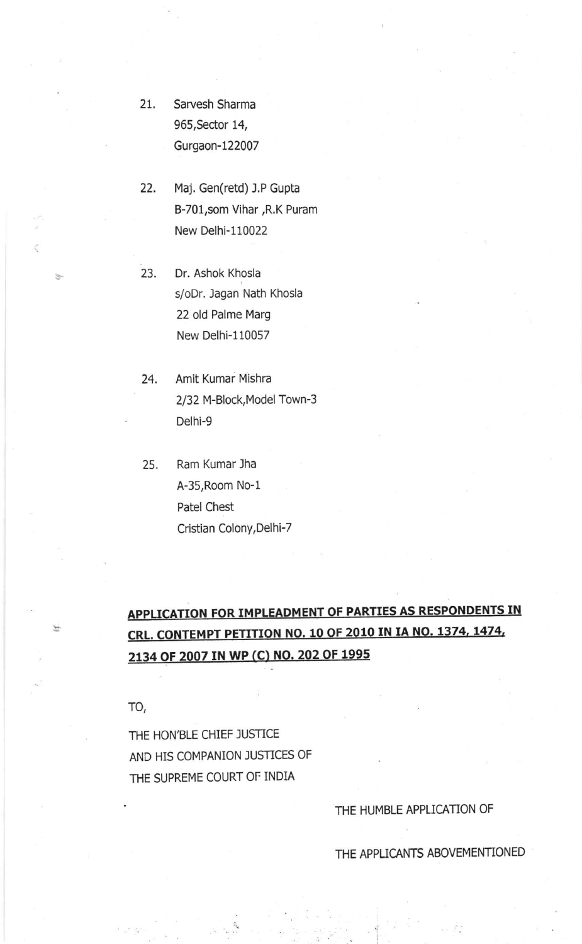- 2t. Sarvesh Sharma 965,Sector 14, Gurgaon-122007
- 22. Maj. Gen(retd) J.P Gupta B-701, som Vihar, R.K Puram New Delhi-110022
- 23. Dr. Ashok Khosla s/oDr. Jagan Nath Khosla 22 old Palme Marg New Delhi-110057
- 24. Amit Kumar Mishra 2/32 M-Block,Model Town-3 Delhi-9
- 25. Ram Kumar Jha A-35,Room No-1 Patel Chest Cristian Colony,Delhi-7

# APPLICATION FOR IMPLEADMENT OF PARTIES AS RESPONDENTS IN CRL. CONTEMPT PETITION NO. 10 OF 2O1O IN IA NO. 1374, 1474, 2134 0F 2oO7 IN WP (C) NO. 202 0F 1995

TO

医

THE HON'BLE CHIEF JUSTICE AND HIS COMPANION JUSTICES OF THE SUPREME COURT OF INDIA

### THE HUMBLE APPLICATION OF

THE APPLICANTS ABOVEMENTIONED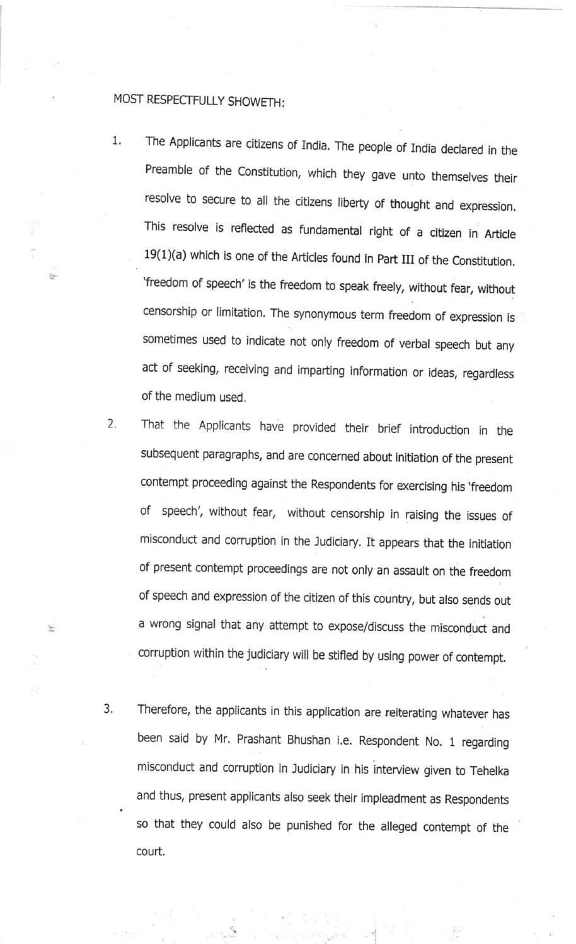## MOST RESPECTFULLY SHOWETH :

Ý.

- 1 The Applicants are citizens of India. The people of India declared in the Preamble of the Constitution, which they gave unto themselves their resolve to secure to all the citizens liberty of thought and expression. This resolve is reflected as fundamental right of a citizen in Article  $19(1)(a)$  which is one of the Articles found in Part III of the Constitution. 'freedom of speech' is the freedom to speak freely, without fear, without censorship or limitation. The synonymous term freedom of expression is sometimes used to indicate not only freedom of verbal speech but any act of seeking, receiving and imparting information or ideas, regardless of the medium used.
- That the Applicants have provided their brief introduction in the subsequent paragraphs, and are concerned about initiation of the present contempt proceeding against the Respondents for exercising his 'freedom of speech', without fear, without censorship in raising the issues of misconduct and corruption in the Judiciary. It appears that the initiation of present contempt proceedings are not only an assault on the freedom of speech and expression of the citizen of this country, but also sends out a wrong signal that any attempt to expose/discuss the misconduct and corruption within the judiciary will be stifled by using power of contempt. 2.
- Therefore, the applicants in this application are reiterating whatever has been said by Mr. Prashant Bhushan i.e. Respondent No. 1 regarding misconduct and corruption in Judiciary in his interview given to Tehelka and thus, present applicants also seek their impleadment as Respondents so that they could also be punished for the alleged contempt of the 3. court.